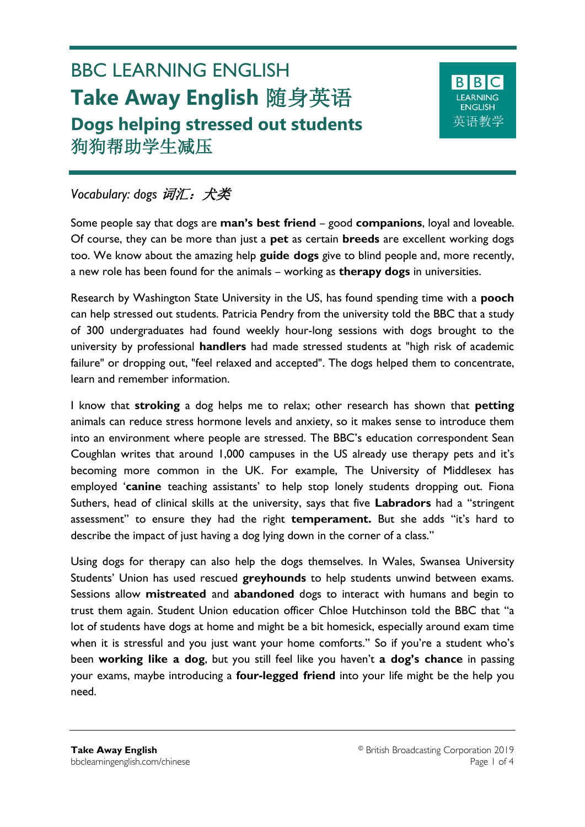# BBC LEARNING ENGLISH **Take Away English** 随身英语 **Dogs helping stressed out students** 狗狗帮助学生减压



# *Vocabulary: dogs* 词汇:犬类

Some people say that dogs are **man's best friend** – good **companions**, loyal and loveable. Of course, they can be more than just a **pet** as certain **breeds** are excellent working dogs too. We know about the amazing help **guide dogs** give to blind people and, more recently, a new role has been found for the animals – working as **therapy dogs** in universities.

Research by Washington State University in the US, has found spending time with a **pooch** can help stressed out students. Patricia Pendry from the university told the BBC that a study of 300 undergraduates had found weekly hour-long sessions with dogs brought to the university by professional **handlers** had made stressed students at "high risk of academic failure" or dropping out, "feel relaxed and accepted". The dogs helped them to concentrate, learn and remember information.

I know that **stroking** a dog helps me to relax; other research has shown that **petting**  animals can reduce stress hormone levels and anxiety, so it makes sense to introduce them into an environment where people are stressed. The BBC's education correspondent Sean Coughlan writes that around 1,000 campuses in the US already use therapy pets and it's becoming more common in the UK. For example, The University of Middlesex has employed '**canine** teaching assistants' to help stop lonely students dropping out. Fiona Suthers, head of clinical skills at the university, says that five **Labradors** had a "stringent assessment" to ensure they had the right **temperament.** But she adds "it's hard to describe the impact of just having a dog lying down in the corner of a class."

Using dogs for therapy can also help the dogs themselves. In Wales, Swansea University Students' Union has used rescued **greyhounds** to help students unwind between exams. Sessions allow **mistreated** and **abandoned** dogs to interact with humans and begin to trust them again. Student Union education officer Chloe Hutchinson told the BBC that "a lot of students have dogs at home and might be a bit homesick, especially around exam time when it is stressful and you just want your home comforts." So if you're a student who's been **working like a dog**, but you still feel like you haven't **a dog's chance** in passing your exams, maybe introducing a **four-legged friend** into your life might be the help you need.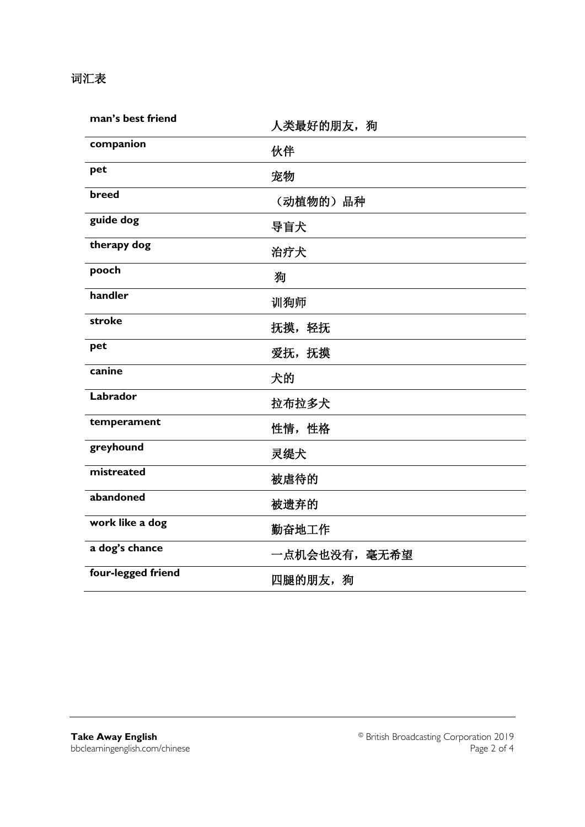### 词汇表

| man's best friend  | 人类最好的朋友,狗     |  |
|--------------------|---------------|--|
| companion          | 伙伴            |  |
| pet                | 宠物            |  |
| breed              | (动植物的)品种      |  |
| guide dog          | 导盲犬           |  |
| therapy dog        | 治疗犬           |  |
| pooch              | 狥             |  |
| handler            | 训狗师           |  |
| stroke             | 抚摸,轻抚         |  |
| pet                | 爱抚,抚摸         |  |
| canine             | 犬的            |  |
| Labrador           | 拉布拉多犬         |  |
| temperament        | 性情,性格         |  |
| greyhound          | 灵缇犬           |  |
| mistreated         | 被虐待的          |  |
| abandoned          | 被遗弃的          |  |
| work like a dog    | 勤奋地工作         |  |
| a dog's chance     | 一点机会也没有, 毫无希望 |  |
| four-legged friend | 四腿的朋友,狗       |  |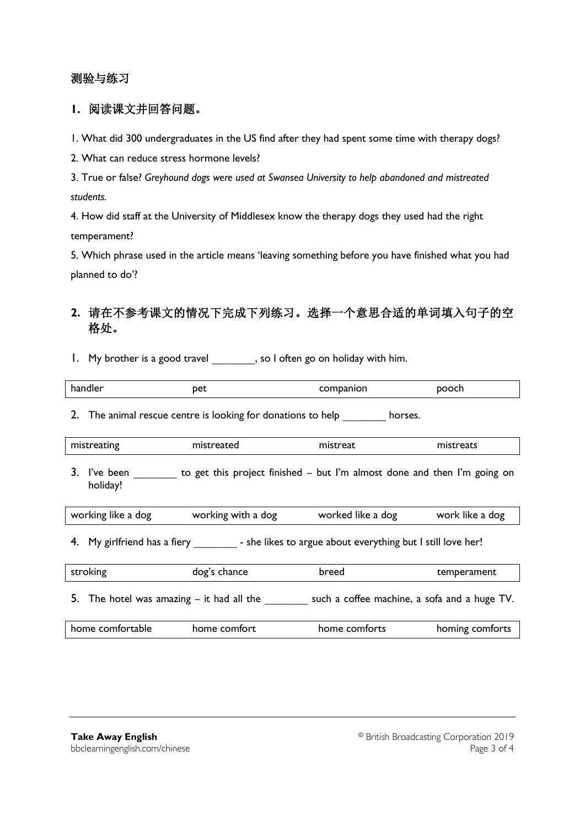#### 测验与练习

#### **1.** 阅读课文并回答问题。

1. What did 300 undergraduates in the US find after they had spent some time with therapy dogs?

2. What can reduce stress hormone levels?

3. True or false? *Greyhound dogs were used at Swansea University to help abandoned and mistreated students.*

4. How did staff at the University of Middlesex know the therapy dogs they used had the right temperament?

5. Which phrase used in the article means 'leaving something before you have finished what you had planned to do'?

### **2.** 请在不参考课文的情况下完成下列练习。选择一个意思合适的单词填入句子的空 格处。

1. My brother is a good travel \_\_\_\_\_\_\_\_, so I often go on holiday with him.

|  | рet<br>handlei<br>.<br>$-$ | пюп | <b></b><br>OCN |  |
|--|----------------------------|-----|----------------|--|
|--|----------------------------|-----|----------------|--|

2. The animal rescue centre is looking for donations to help horses.

| mistreating | $- - -$<br>'nistreated | mistreat | -------<br>∵cals. |
|-------------|------------------------|----------|-------------------|

3. I've been \_\_\_\_\_\_\_\_ to get this project finished – but I'm almost done and then I'm going on holiday!

| worked like a dog<br>working with a dog<br>working like a dog | work like a dog |
|---------------------------------------------------------------|-----------------|
|---------------------------------------------------------------|-----------------|

4. My girlfriend has a fiery \_\_\_\_\_\_\_\_\_\_ - she likes to argue about everything but I still love her!

| stroking                                    | dog's chance | breed         | temperament                                  |
|---------------------------------------------|--------------|---------------|----------------------------------------------|
| 5. The hotel was amazing $-$ it had all the |              |               | such a coffee machine, a sofa and a huge TV. |
| home comfortable                            | home comfort | home comforts | homing comforts                              |
|                                             |              |               |                                              |